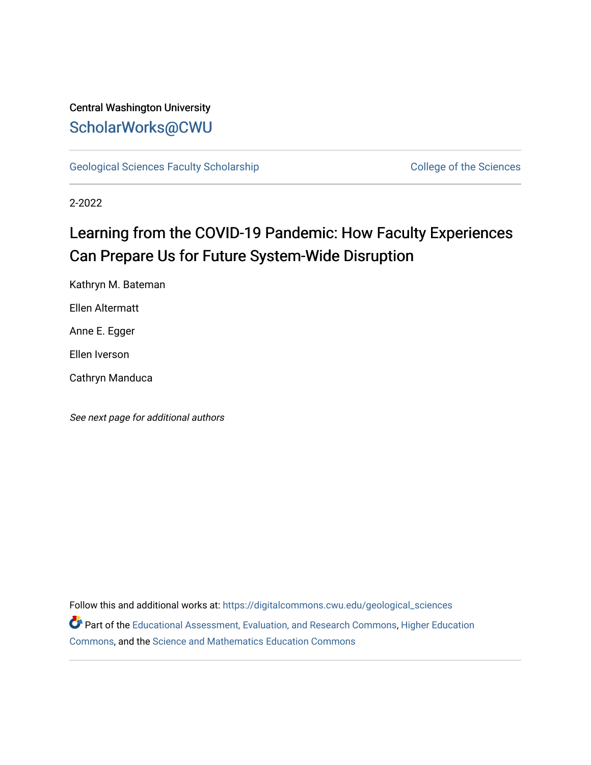### Central Washington University [ScholarWorks@CWU](https://digitalcommons.cwu.edu/)

[Geological Sciences Faculty Scholarship](https://digitalcommons.cwu.edu/geological_sciences) College of the Sciences

2-2022

## Learning from the COVID-19 Pandemic: How Faculty Experiences Can Prepare Us for Future System-Wide Disruption

Kathryn M. Bateman Ellen Altermatt Anne E. Egger Ellen Iverson

Cathryn Manduca

See next page for additional authors

Follow this and additional works at: [https://digitalcommons.cwu.edu/geological\\_sciences](https://digitalcommons.cwu.edu/geological_sciences?utm_source=digitalcommons.cwu.edu%2Fgeological_sciences%2F170&utm_medium=PDF&utm_campaign=PDFCoverPages)  Part of the [Educational Assessment, Evaluation, and Research Commons](http://network.bepress.com/hgg/discipline/796?utm_source=digitalcommons.cwu.edu%2Fgeological_sciences%2F170&utm_medium=PDF&utm_campaign=PDFCoverPages), [Higher Education](http://network.bepress.com/hgg/discipline/1245?utm_source=digitalcommons.cwu.edu%2Fgeological_sciences%2F170&utm_medium=PDF&utm_campaign=PDFCoverPages)  [Commons](http://network.bepress.com/hgg/discipline/1245?utm_source=digitalcommons.cwu.edu%2Fgeological_sciences%2F170&utm_medium=PDF&utm_campaign=PDFCoverPages), and the [Science and Mathematics Education Commons](http://network.bepress.com/hgg/discipline/800?utm_source=digitalcommons.cwu.edu%2Fgeological_sciences%2F170&utm_medium=PDF&utm_campaign=PDFCoverPages)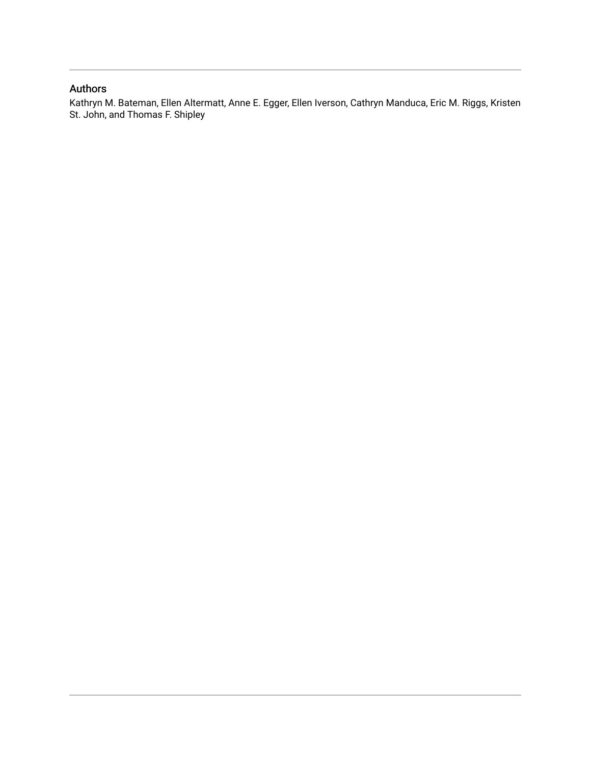### Authors

Kathryn M. Bateman, Ellen Altermatt, Anne E. Egger, Ellen Iverson, Cathryn Manduca, Eric M. Riggs, Kristen St. John, and Thomas F. Shipley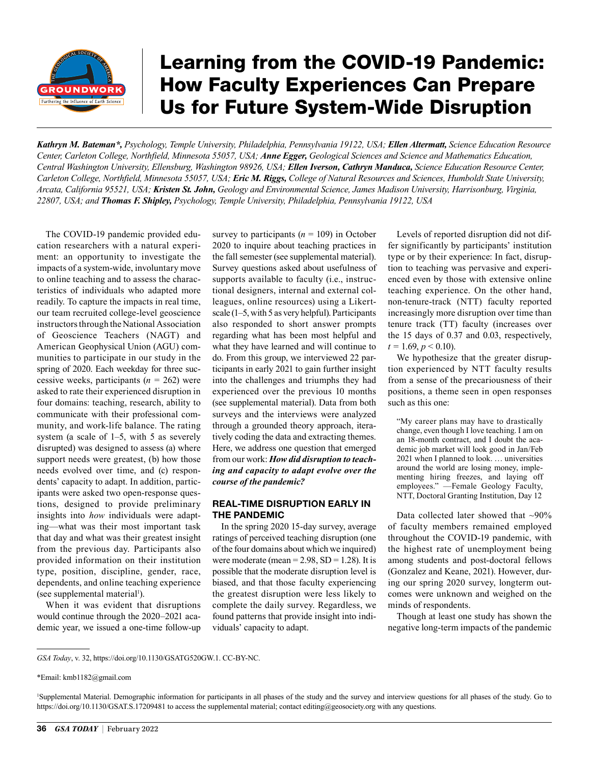

# Learning from the COVID-19 Pandemic: How Faculty Experiences Can Prepare Us for Future System-Wide Disruption

*Kathryn M. Bateman\*, Psychology, Temple University, Philadelphia, Pennsylvania 19122, USA; Ellen Altermatt, Science Education Resource Center, Carleton College, Northfield, Minnesota 55057, USA; Anne Egger, Geological Sciences and Science and Mathematics Education, Central Washington University, Ellensburg, Washington 98926, USA; Ellen Iverson, Cathryn Manduca, Science Education Resource Center, Carleton College, Northfield, Minnesota 55057, USA; Eric M. Riggs, College of Natural Resources and Sciences, Humboldt State University, Arcata, California 95521, USA; Kristen St. John, Geology and Environmental Science, James Madison University, Harrisonburg, Virginia, 22807, USA; and Thomas F. Shipley, Psychology, Temple University, Philadelphia, Pennsylvania 19122, USA*

The COVID-19 pandemic provided education researchers with a natural experiment: an opportunity to investigate the impacts of a system-wide, involuntary move to online teaching and to assess the characteristics of individuals who adapted more readily. To capture the impacts in real time, our team recruited college-level geoscience instructors through the National Association of Geoscience Teachers (NAGT) and American Geophysical Union (AGU) communities to participate in our study in the spring of 2020. Each weekday for three successive weeks, participants (*n =* 262) were asked to rate their experienced disruption in four domains: teaching, research, ability to communicate with their professional community, and work-life balance. The rating system (a scale of 1–5, with 5 as severely disrupted) was designed to assess (a) where support needs were greatest, (b) how those needs evolved over time, and (c) respondents' capacity to adapt. In addition, participants were asked two open-response questions, designed to provide preliminary insights into *how* individuals were adapting—what was their most important task that day and what was their greatest insight from the previous day. Participants also provided information on their institution type, position, discipline, gender, race, dependents, and online teaching experience (see supplemental material<sup>1</sup>).

When it was evident that disruptions would continue through the 2020–2021 academic year, we issued a one-time follow-up survey to participants  $(n = 109)$  in October 2020 to inquire about teaching practices in the fall semester (see supplemental material). Survey questions asked about usefulness of supports available to faculty (i.e., instructional designers, internal and external colleagues, online resources) using a Likertscale (1–5, with 5 as very helpful). Participants also responded to short answer prompts regarding what has been most helpful and what they have learned and will continue to do. From this group, we interviewed 22 participants in early 2021 to gain further insight into the challenges and triumphs they had experienced over the previous 10 months (see supplemental material). Data from both surveys and the interviews were analyzed through a grounded theory approach, iteratively coding the data and extracting themes. Here, we address one question that emerged from our work: *How did disruption to teaching and capacity to adapt evolve over the course of the pandemic?*

#### REAL-TIME DISRUPTION EARLY IN THE PANDEMIC

In the spring 2020 15-day survey, average ratings of perceived teaching disruption (one of the four domains about which we inquired) were moderate (mean =  $2.98$ , SD =  $1.28$ ). It is possible that the moderate disruption level is biased, and that those faculty experiencing the greatest disruption were less likely to complete the daily survey. Regardless, we found patterns that provide insight into individuals' capacity to adapt.

Levels of reported disruption did not differ significantly by participants' institution type or by their experience: In fact, disruption to teaching was pervasive and experienced even by those with extensive online teaching experience. On the other hand, non-tenure-track (NTT) faculty reported increasingly more disruption over time than tenure track (TT) faculty (increases over the 15 days of 0.37 and 0.03, respectively,  $t = 1.69, p \le 0.10$ .

We hypothesize that the greater disruption experienced by NTT faculty results from a sense of the precariousness of their positions, a theme seen in open responses such as this one:

"My career plans may have to drastically change, even though I love teaching. I am on an 18-month contract, and I doubt the academic job market will look good in Jan/Feb 2021 when I planned to look. … universities around the world are losing money, implementing hiring freezes, and laying off employees." —Female Geology Faculty, NTT, Doctoral Granting Institution, Day 12

Data collected later showed that  $\sim 90\%$ of faculty members remained employed throughout the COVID-19 pandemic, with the highest rate of unemployment being among students and post-doctoral fellows (Gonzalez and Keane, 2021). However, during our spring 2020 survey, longterm outcomes were unknown and weighed on the minds of respondents.

Though at least one study has shown the negative long-term impacts of the pandemic

*GSA Today*, v. 32, <https://doi.org/10.1130/GSATG520GW.1>. CC-BY-NC.

<sup>\*</sup>Email: [kmb1182@gmail.com](mailto:kmb1182%40gmail.com?subject=)

<sup>1</sup> Supplemental Material. Demographic information for participants in all phases of the study and the survey and interview questions for all phases of the study. Go to <https://doi.org/10.1130/GSAT.S.17209481>to access the supplemental material; contact [editing@geosociety.org](mailto:editing%40geosociety.org?subject=) with any questions.